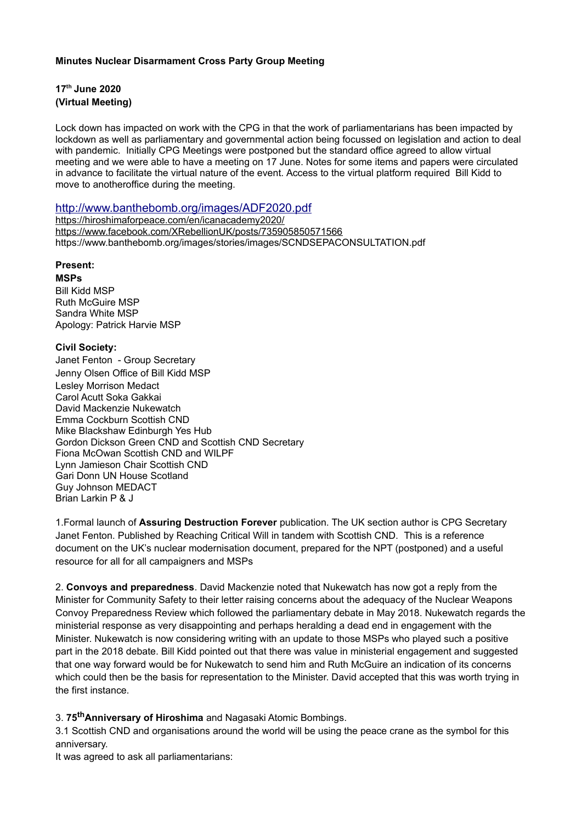#### **Minutes Nuclear Disarmament Cross Party Group Meeting**

# **17th June 2020 (Virtual Meeting)**

Lock down has impacted on work with the CPG in that the work of parliamentarians has been impacted by lockdown as well as parliamentary and governmental action being focussed on legislation and action to deal with pandemic. Initially CPG Meetings were postponed but the standard office agreed to allow virtual meeting and we were able to have a meeting on 17 June. Notes for some items and papers were circulated in advance to facilitate the virtual nature of the event. Access to the virtual platform required Bill Kidd to move to anotheroffice during the meeting.

### <http://www.banthebomb.org/images/ADF2020.pdf>

<https://hiroshimaforpeace.com/en/icanacademy2020/> <https://www.facebook.com/XRebellionUK/posts/735905850571566> https://www.banthebomb.org/images/stories/images/SCNDSEPACONSULTATION.pdf

## **Present:**

#### **MSPs**

Bill Kidd MSP Ruth McGuire MSP Sandra White MSP Apology: Patrick Harvie MSP

#### **Civil Society:**

Janet Fenton - Group Secretary Jenny Olsen Office of Bill Kidd MSP Lesley Morrison Medact Carol Acutt Soka Gakkai David Mackenzie Nukewatch Emma Cockburn Scottish CND Mike Blackshaw Edinburgh Yes Hub Gordon Dickson Green CND and Scottish CND Secretary Fiona McOwan Scottish CND and WILPF Lynn Jamieson Chair Scottish CND Gari Donn UN House Scotland Guy Johnson MEDACT Brian Larkin P & J

1.Formal launch of **Assuring Destruction Forever** publication. The UK section author is CPG Secretary Janet Fenton. Published by Reaching Critical Will in tandem with Scottish CND. This is a reference document on the UK's nuclear modernisation document, prepared for the NPT (postponed) and a useful resource for all for all campaigners and MSPs

2. **Convoys and preparedness**. David Mackenzie noted that Nukewatch has now got a reply from the Minister for Community Safety to their letter raising concerns about the adequacy of the Nuclear Weapons Convoy Preparedness Review which followed the parliamentary debate in May 2018. Nukewatch regards the ministerial response as very disappointing and perhaps heralding a dead end in engagement with the Minister. Nukewatch is now considering writing with an update to those MSPs who played such a positive part in the 2018 debate. Bill Kidd pointed out that there was value in ministerial engagement and suggested that one way forward would be for Nukewatch to send him and Ruth McGuire an indication of its concerns which could then be the basis for representation to the Minister. David accepted that this was worth trying in the first instance.

3. **75thAnniversary of Hiroshima** and Nagasaki Atomic Bombings.

3.1 Scottish CND and organisations around the world will be using the peace crane as the symbol for this anniversary.

It was agreed to ask all parliamentarians: